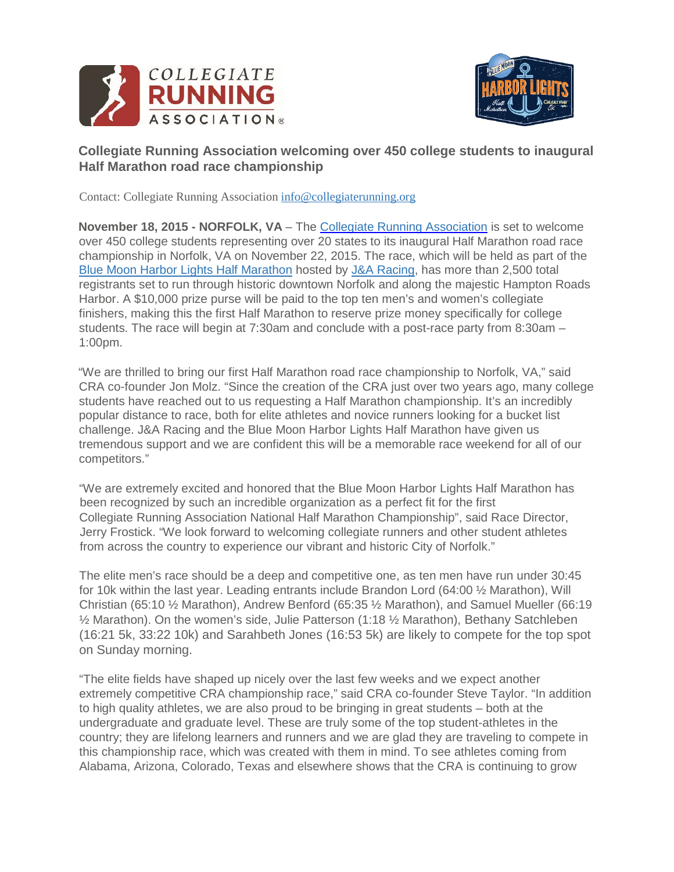



## **Collegiate Running Association welcoming over 450 college students to inaugural Half Marathon road race championship**

Contact: Collegiate Running Association [info@collegiaterunning.org](mailto:info@collegiaterunning.org)

**November 18, 2015 - NORFOLK, VA** – The [Collegiate Running Association](http://www.collegiaterunning.org/) is set to welcome over 450 college students representing over 20 states to its inaugural Half Marathon road race championship in Norfolk, VA on November 22, 2015. The race, which will be held as part of the [Blue Moon Harbor Lights Half Marathon](http://harborlightshalf.com/) hosted by [J&A Racing,](http://www.jandaracing.com/) has more than 2,500 total registrants set to run through historic downtown Norfolk and along the majestic Hampton Roads Harbor. A \$10,000 prize purse will be paid to the top ten men's and women's collegiate finishers, making this the first Half Marathon to reserve prize money specifically for college students. The race will begin at 7:30am and conclude with a post-race party from 8:30am – 1:00pm.

"We are thrilled to bring our first Half Marathon road race championship to Norfolk, VA," said CRA co-founder Jon Molz. "Since the creation of the CRA just over two years ago, many college students have reached out to us requesting a Half Marathon championship. It's an incredibly popular distance to race, both for elite athletes and novice runners looking for a bucket list challenge. J&A Racing and the Blue Moon Harbor Lights Half Marathon have given us tremendous support and we are confident this will be a memorable race weekend for all of our competitors."

"We are extremely excited and honored that the Blue Moon Harbor Lights Half Marathon has been recognized by such an incredible organization as a perfect fit for the first Collegiate Running Association National Half Marathon Championship", said Race Director, Jerry Frostick. "We look forward to welcoming collegiate runners and other student athletes from across the country to experience our vibrant and historic City of Norfolk."

The elite men's race should be a deep and competitive one, as ten men have run under 30:45 for 10k within the last year. Leading entrants include Brandon Lord (64:00 ½ Marathon), Will Christian (65:10 ½ Marathon), Andrew Benford (65:35 ½ Marathon), and Samuel Mueller (66:19 ½ Marathon). On the women's side, Julie Patterson (1:18 ½ Marathon), Bethany Satchleben (16:21 5k, 33:22 10k) and Sarahbeth Jones (16:53 5k) are likely to compete for the top spot on Sunday morning.

"The elite fields have shaped up nicely over the last few weeks and we expect another extremely competitive CRA championship race," said CRA co-founder Steve Taylor. "In addition to high quality athletes, we are also proud to be bringing in great students – both at the undergraduate and graduate level. These are truly some of the top student-athletes in the country; they are lifelong learners and runners and we are glad they are traveling to compete in this championship race, which was created with them in mind. To see athletes coming from Alabama, Arizona, Colorado, Texas and elsewhere shows that the CRA is continuing to grow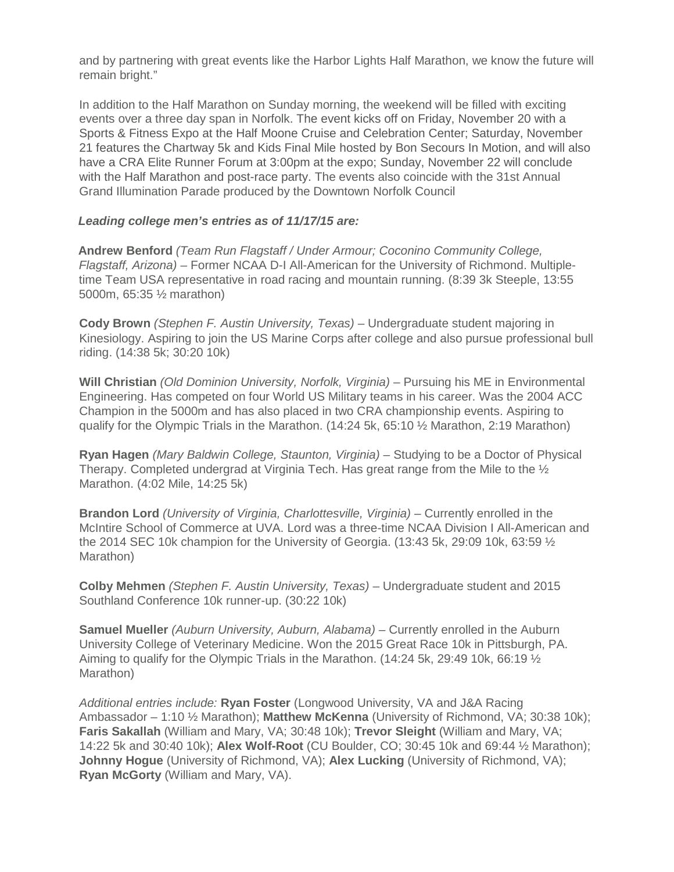and by partnering with great events like the Harbor Lights Half Marathon, we know the future will remain bright."

In addition to the Half Marathon on Sunday morning, the weekend will be filled with exciting events over a three day span in Norfolk. The event kicks off on Friday, November 20 with a Sports & Fitness Expo at the Half Moone Cruise and Celebration Center; Saturday, November 21 features the Chartway 5k and Kids Final Mile hosted by Bon Secours In Motion, and will also have a CRA Elite Runner Forum at 3:00pm at the expo; Sunday, November 22 will conclude with the Half Marathon and post-race party. The events also coincide with the 31st Annual Grand Illumination Parade produced by the Downtown Norfolk Council

## *Leading college men's entries as of 11/17/15 are:*

**Andrew Benford** *(Team Run Flagstaff / Under Armour; Coconino Community College, Flagstaff, Arizona)* – Former NCAA D-I All-American for the University of Richmond. Multipletime Team USA representative in road racing and mountain running. (8:39 3k Steeple, 13:55 5000m, 65:35 ½ marathon)

**Cody Brown** *[\(](http://zapfitness.com/athletes/cole-atkins/)Stephen F. Austin University, Texas)* – Undergraduate student majoring in Kinesiology. Aspiring to join the US Marine Corps after college and also pursue professional bull riding. (14:38 5k; 30:20 10k)

**Will Christian** *(Old Dominion University, Norfolk, Virginia)* – Pursuing his ME in Environmental Engineering. Has competed on four World US Military teams in his career. Was the 2004 ACC Champion in the 5000m and has also placed in two CRA championship events. Aspiring to qualify for the Olympic Trials in the Marathon. (14:24 5k, 65:10 ½ Marathon, 2:19 Marathon)

**Ryan Hagen** *(Mary Baldwin College, Staunton, Virginia)* – Studying to be a Doctor of Physical Therapy. Completed undergrad at Virginia Tech. Has great range from the Mile to the  $\frac{1}{2}$ Marathon. (4:02 Mile, 14:25 5k)

**Brandon Lord** *(University of Virginia, Charlottesville, Virginia)* – Currently enrolled in the McIntire School of Commerce at UVA. Lord was a three-time NCAA Division I All-American and the 2014 SEC 10k champion for the University of Georgia. (13:43 5k, 29:09 10k, 63:59 ½ Marathon)

**Colby Mehmen** *(Stephen F. Austin University, Texas)* – Undergraduate student and 2015 Southland Conference 10k runner-up. (30:22 10k)

**Samuel Mueller** *(Auburn University, Auburn, Alabama)* – Currently enrolled in the Auburn University College of Veterinary Medicine. Won the 2015 Great Race 10k in Pittsburgh, PA. Aiming to qualify for the Olympic Trials in the Marathon. (14:24 5k, 29:49 10k, 66:19  $\frac{1}{2}$ ) Marathon)

*Additional entries include:* **Ryan Foster** (Longwood University, VA and J&A Racing Ambassador – 1:10 ½ Marathon); **Matthew McKenna** (University of Richmond, VA; 30:38 10k); **Faris Sakallah** (William and Mary, VA; 30:48 10k); **Trevor Sleight** (William and Mary, VA; 14:22 5k and 30:40 10k); **Alex Wolf-Root** (CU Boulder, CO; 30:45 10k and 69:44 ½ Marathon); **Johnny Hogue** (University of Richmond, VA); **Alex Lucking** (University of Richmond, VA); **Ryan McGorty** (William and Mary, VA).